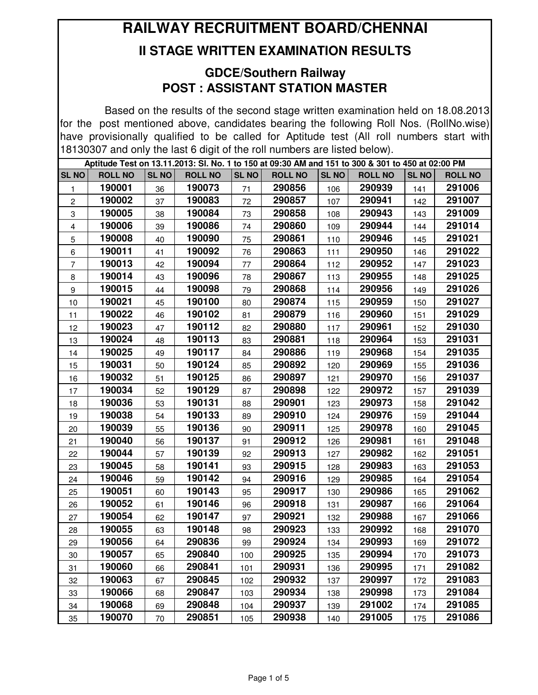## **RAILWAY RECRUITMENT BOARD/CHENNAI**

## **II STAGE WRITTEN EXAMINATION RESULTS**

## **GDCE/Southern Railway POST : ASSISTANT STATION MASTER**

Based on the results of the second stage written examination held on 18.08.2013 for the post mentioned above, candidates bearing the following Roll Nos. (RollNo.wise) have provisionally qualified to be called for Aptitude test (All roll numbers start with 18130307 and only the last 6 digit of the roll numbers are listed below).

|              | Aptitude Test on 13.11.2013: SI. No. 1 to 150 at 09:30 AM and 151 to 300 & 301 to 450 at 02:00 PM |              |                |              |                |              |                |              |                |  |  |
|--------------|---------------------------------------------------------------------------------------------------|--------------|----------------|--------------|----------------|--------------|----------------|--------------|----------------|--|--|
| <b>SL NO</b> | <b>ROLL NO</b>                                                                                    | <b>SL NO</b> | <b>ROLL NO</b> | <b>SL NO</b> | <b>ROLL NO</b> | <b>SL NO</b> | <b>ROLL NO</b> | <b>SL NO</b> | <b>ROLL NO</b> |  |  |
| 1            | 190001                                                                                            | 36           | 190073         | 71           | 290856         | 106          | 290939         | 141          | 291006         |  |  |
| 2            | 190002                                                                                            | 37           | 190083         | 72           | 290857         | 107          | 290941         | 142          | 291007         |  |  |
| 3            | 190005                                                                                            | 38           | 190084         | 73           | 290858         | 108          | 290943         | 143          | 291009         |  |  |
| 4            | 190006                                                                                            | 39           | 190086         | 74           | 290860         | 109          | 290944         | 144          | 291014         |  |  |
| 5            | 190008                                                                                            | 40           | 190090         | 75           | 290861         | 110          | 290946         | 145          | 291021         |  |  |
| 6            | 190011                                                                                            | 41           | 190092         | 76           | 290863         | 111          | 290950         | 146          | 291022         |  |  |
| 7            | 190013                                                                                            | 42           | 190094         | 77           | 290864         | 112          | 290952         | 147          | 291023         |  |  |
| 8            | 190014                                                                                            | 43           | 190096         | 78           | 290867         | 113          | 290955         | 148          | 291025         |  |  |
| 9            | 190015                                                                                            | 44           | 190098         | 79           | 290868         | 114          | 290956         | 149          | 291026         |  |  |
| 10           | 190021                                                                                            | 45           | 190100         | 80           | 290874         | 115          | 290959         | 150          | 291027         |  |  |
| 11           | 190022                                                                                            | 46           | 190102         | 81           | 290879         | 116          | 290960         | 151          | 291029         |  |  |
| 12           | 190023                                                                                            | 47           | 190112         | 82           | 290880         | 117          | 290961         | 152          | 291030         |  |  |
| 13           | 190024                                                                                            | 48           | 190113         | 83           | 290881         | 118          | 290964         | 153          | 291031         |  |  |
| 14           | 190025                                                                                            | 49           | 190117         | 84           | 290886         | 119          | 290968         | 154          | 291035         |  |  |
| 15           | 190031                                                                                            | 50           | 190124         | 85           | 290892         | 120          | 290969         | 155          | 291036         |  |  |
| 16           | 190032                                                                                            | 51           | 190125         | 86           | 290897         | 121          | 290970         | 156          | 291037         |  |  |
| 17           | 190034                                                                                            | 52           | 190129         | 87           | 290898         | 122          | 290972         | 157          | 291039         |  |  |
| 18           | 190036                                                                                            | 53           | 190131         | 88           | 290901         | 123          | 290973         | 158          | 291042         |  |  |
| 19           | 190038                                                                                            | 54           | 190133         | 89           | 290910         | 124          | 290976         | 159          | 291044         |  |  |
| 20           | 190039                                                                                            | 55           | 190136         | 90           | 290911         | 125          | 290978         | 160          | 291045         |  |  |
| 21           | 190040                                                                                            | 56           | 190137         | 91           | 290912         | 126          | 290981         | 161          | 291048         |  |  |
| 22           | 190044                                                                                            | 57           | 190139         | 92           | 290913         | 127          | 290982         | 162          | 291051         |  |  |
| 23           | 190045                                                                                            | 58           | 190141         | 93           | 290915         | 128          | 290983         | 163          | 291053         |  |  |
| 24           | 190046                                                                                            | 59           | 190142         | 94           | 290916         | 129          | 290985         | 164          | 291054         |  |  |
| 25           | 190051                                                                                            | 60           | 190143         | 95           | 290917         | 130          | 290986         | 165          | 291062         |  |  |
| 26           | 190052                                                                                            | 61           | 190146         | 96           | 290918         | 131          | 290987         | 166          | 291064         |  |  |
| 27           | 190054                                                                                            | 62           | 190147         | 97           | 290921         | 132          | 290988         | 167          | 291066         |  |  |
| 28           | 190055                                                                                            | 63           | 190148         | 98           | 290923         | 133          | 290992         | 168          | 291070         |  |  |
| 29           | 190056                                                                                            | 64           | 290836         | 99           | 290924         | 134          | 290993         | 169          | 291072         |  |  |
| 30           | 190057                                                                                            | 65           | 290840         | 100          | 290925         | 135          | 290994         | 170          | 291073         |  |  |
| 31           | 190060                                                                                            | 66           | 290841         | 101          | 290931         | 136          | 290995         | 171          | 291082         |  |  |
| 32           | 190063                                                                                            | 67           | 290845         | 102          | 290932         | 137          | 290997         | 172          | 291083         |  |  |
| 33           | 190066                                                                                            | 68           | 290847         | 103          | 290934         | 138          | 290998         | 173          | 291084         |  |  |
| 34           | 190068                                                                                            | 69           | 290848         | 104          | 290937         | 139          | 291002         | 174          | 291085         |  |  |
| 35           | 190070                                                                                            | 70           | 290851         | 105          | 290938         | 140          | 291005         | 175          | 291086         |  |  |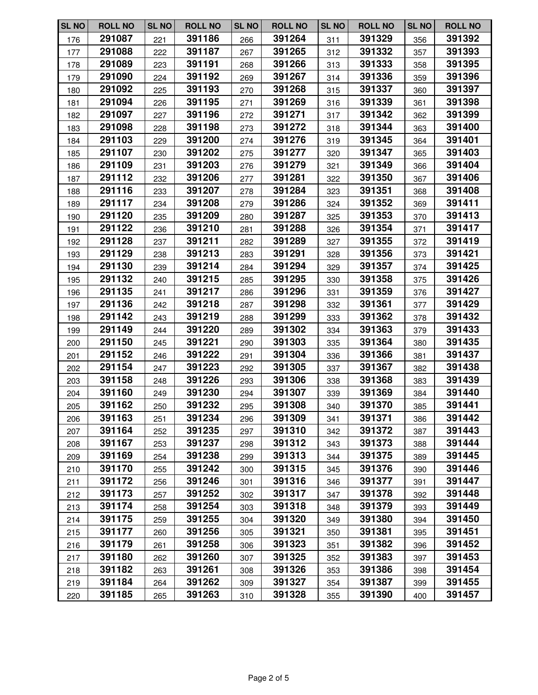| <b>SL NO</b> | <b>ROLL NO</b> | <b>SL NO</b> | <b>ROLL NO</b> | <b>SL NO</b> | <b>ROLL NO</b> | <b>SL NO</b> | <b>ROLL NO</b> | <b>SL NO</b> | <b>ROLL NO</b> |
|--------------|----------------|--------------|----------------|--------------|----------------|--------------|----------------|--------------|----------------|
| 176          | 291087         | 221          | 391186         | 266          | 391264         | 311          | 391329         | 356          | 391392         |
| 177          | 291088         | 222          | 391187         | 267          | 391265         | 312          | 391332         | 357          | 391393         |
| 178          | 291089         | 223          | 391191         | 268          | 391266         | 313          | 391333         | 358          | 391395         |
| 179          | 291090         | 224          | 391192         | 269          | 391267         | 314          | 391336         | 359          | 391396         |
| 180          | 291092         | 225          | 391193         | 270          | 391268         | 315          | 391337         | 360          | 391397         |
| 181          | 291094         | 226          | 391195         | 271          | 391269         | 316          | 391339         | 361          | 391398         |
| 182          | 291097         | 227          | 391196         | 272          | 391271         | 317          | 391342         | 362          | 391399         |
| 183          | 291098         | 228          | 391198         | 273          | 391272         | 318          | 391344         | 363          | 391400         |
| 184          | 291103         | 229          | 391200         | 274          | 391276         | 319          | 391345         | 364          | 391401         |
| 185          | 291107         | 230          | 391202         | 275          | 391277         | 320          | 391347         | 365          | 391403         |
| 186          | 291109         | 231          | 391203         | 276          | 391279         | 321          | 391349         | 366          | 391404         |
| 187          | 291112         | 232          | 391206         | 277          | 391281         | 322          | 391350         | 367          | 391406         |
| 188          | 291116         | 233          | 391207         | 278          | 391284         | 323          | 391351         | 368          | 391408         |
| 189          | 291117         | 234          | 391208         | 279          | 391286         | 324          | 391352         | 369          | 391411         |
| 190          | 291120         | 235          | 391209         | 280          | 391287         | 325          | 391353         | 370          | 391413         |
| 191          | 291122         | 236          | 391210         | 281          | 391288         | 326          | 391354         | 371          | 391417         |
| 192          | 291128         | 237          | 391211         | 282          | 391289         | 327          | 391355         | 372          | 391419         |
| 193          | 291129         | 238          | 391213         | 283          | 391291         | 328          | 391356         | 373          | 391421         |
| 194          | 291130         | 239          | 391214         | 284          | 391294         | 329          | 391357         | 374          | 391425         |
| 195          | 291132         | 240          | 391215         | 285          | 391295         | 330          | 391358         | 375          | 391426         |
| 196          | 291135         | 241          | 391217         | 286          | 391296         | 331          | 391359         | 376          | 391427         |
| 197          | 291136         | 242          | 391218         | 287          | 391298         | 332          | 391361         | 377          | 391429         |
| 198          | 291142         | 243          | 391219         | 288          | 391299         | 333          | 391362         | 378          | 391432         |
| 199          | 291149         | 244          | 391220         | 289          | 391302         | 334          | 391363         | 379          | 391433         |
| 200          | 291150         | 245          | 391221         | 290          | 391303         | 335          | 391364         | 380          | 391435         |
| 201          | 291152         | 246          | 391222         | 291          | 391304         | 336          | 391366         | 381          | 391437         |
| 202          | 291154         | 247          | 391223         | 292          | 391305         | 337          | 391367         | 382          | 391438         |
| 203          | 391158         | 248          | 391226         | 293          | 391306         | 338          | 391368         | 383          | 391439         |
| 204          | 391160         | 249          | 391230         | 294          | 391307         | 339          | 391369         | 384          | 391440         |
| 205          | 391162         | 250          | 391232         | 295          | 391308         | 340          | 391370         | 385          | 391441         |
| 206          | 391163         | 251          | 391234         | 296          | 391309         | 341          | 391371         | 386          | 391442         |
| 207          | 391164         | 252          | 391235         | 297          | 391310         | 342          | 391372         | 387          | 391443         |
| 208          | 391167         | 253          | 391237         | 298          | 391312         | 343          | 391373         | 388          | 391444         |
| 209          | 391169         | 254          | 391238         | 299          | 391313         | 344          | 391375         | 389          | 391445         |
| 210          | 391170         | 255          | 391242         | 300          | 391315         | 345          | 391376         | 390          | 391446         |
| 211          | 391172         | 256          | 391246         | 301          | 391316         | 346          | 391377         | 391          | 391447         |
| 212          | 391173         | 257          | 391252         | 302          | 391317         | 347          | 391378         | 392          | 391448         |
| 213          | 391174         | 258          | 391254         | 303          | 391318         | 348          | 391379         | 393          | 391449         |
| 214          | 391175         | 259          | 391255         | 304          | 391320         | 349          | 391380         | 394          | 391450         |
| 215          | 391177         | 260          | 391256         | 305          | 391321         | 350          | 391381         | 395          | 391451         |
| 216          | 391179         | 261          | 391258         | 306          | 391323         | 351          | 391382         | 396          | 391452         |
| 217          | 391180         | 262          | 391260         | 307          | 391325         | 352          | 391383         | 397          | 391453         |
| 218          | 391182         | 263          | 391261         | 308          | 391326         | 353          | 391386         | 398          | 391454         |
| 219          | 391184         | 264          | 391262         | 309          | 391327         | 354          | 391387         | 399          | 391455         |
| 220          | 391185         | 265          | 391263         | 310          | 391328         | 355          | 391390         | 400          | 391457         |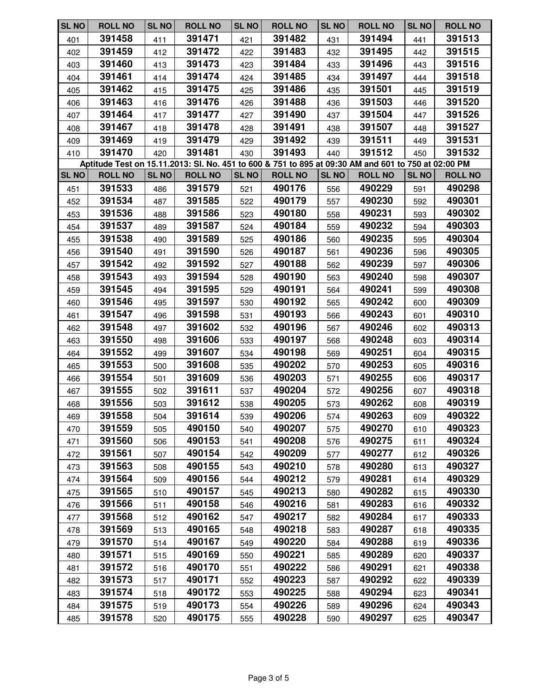| <b>SL NO</b> | <b>ROLL NO</b> | <b>SL NO</b> | <b>ROLL NO</b>                                                                                      | <b>SL NO</b> | <b>ROLL NO</b> | <b>SL NO</b> | <b>ROLL NO</b> | <b>SL NO</b> | <b>ROLL NO</b> |
|--------------|----------------|--------------|-----------------------------------------------------------------------------------------------------|--------------|----------------|--------------|----------------|--------------|----------------|
| 401          | 391458         | 411          | 391471                                                                                              | 421          | 391482         | 431          | 391494         | 441          | 391513         |
| 402          | 391459         | 412          | 391472                                                                                              | 422          | 391483         | 432          | 391495         | 442          | 391515         |
| 403          | 391460         | 413          | 391473                                                                                              | 423          | 391484         | 433          | 391496         | 443          | 391516         |
| 404          | 391461         | 414          | 391474                                                                                              | 424          | 391485         | 434          | 391497         | 444          | 391518         |
| 405          | 391462         | 415          | 391475                                                                                              | 425          | 391486         | 435          | 391501         | 445          | 391519         |
| 406          | 391463         | 416          | 391476                                                                                              | 426          | 391488         | 436          | 391503         | 446          | 391520         |
| 407          | 391464         | 417          | 391477                                                                                              | 427          | 391490         | 437          | 391504         | 447          | 391526         |
| 408          | 391467         | 418          | 391478                                                                                              | 428          | 391491         | 438          | 391507         | 448          | 391527         |
| 409          | 391469         | 419          | 391479                                                                                              | 429          | 391492         | 439          | 391511         | 449          | 391531         |
| 410          | 391470         | 420          | 391481                                                                                              | 430          | 391493         | 440          | 391512         | 450          | 391532         |
|              |                |              | Aptitude Test on 15.11.2013: SI. No. 451 to 600 & 751 to 895 at 09:30 AM and 601 to 750 at 02:00 PM |              |                |              |                |              |                |
| <b>SL NO</b> | <b>ROLL NO</b> | <b>SL NO</b> | <b>ROLL NO</b>                                                                                      | <b>SL NO</b> | <b>ROLL NO</b> | <b>SL NO</b> | <b>ROLL NO</b> | <b>SL NO</b> | <b>ROLL NO</b> |
| 451          | 391533         | 486          | 391579                                                                                              | 521          | 490176         | 556          | 490229         | 591          | 490298         |
| 452          | 391534         | 487          | 391585                                                                                              | 522          | 490179         | 557          | 490230         | 592          | 490301         |
| 453          | 391536         | 488          | 391586                                                                                              | 523          | 490180         | 558          | 490231         | 593          | 490302         |
| 454          | 391537         | 489          | 391587                                                                                              | 524          | 490184         | 559          | 490232         | 594          | 490303         |
| 455          | 391538         | 490          | 391589                                                                                              | 525          | 490186         | 560          | 490235         | 595          | 490304         |
| 456          | 391540         | 491          | 391590                                                                                              | 526          | 490187         | 561          | 490236         | 596          | 490305         |
| 457          | 391542         | 492          | 391592                                                                                              | 527          | 490188         | 562          | 490239         | 597          | 490306         |
| 458          | 391543         | 493          | 391594                                                                                              | 528          | 490190         | 563          | 490240         | 598          | 490307         |
| 459          | 391545         | 494          | 391595                                                                                              | 529          | 490191         | 564          | 490241         | 599          | 490308         |
| 460          | 391546         | 495          | 391597                                                                                              | 530          | 490192         | 565          | 490242         | 600          | 490309         |
| 461          | 391547         | 496          | 391598                                                                                              | 531          | 490193         | 566          | 490243         | 601          | 490310         |
| 462          | 391548         | 497          | 391602                                                                                              | 532          | 490196         | 567          | 490246         | 602          | 490313         |
| 463          | 391550         | 498          | 391606                                                                                              | 533          | 490197         | 568          | 490248         | 603          | 490314         |
| 464          | 391552         | 499          | 391607                                                                                              | 534          | 490198         | 569          | 490251         | 604          | 490315         |
| 465          | 391553         | 500          | 391608                                                                                              | 535          | 490202         | 570          | 490253         | 605          | 490316         |
| 466          | 391554         | 501          | 391609                                                                                              | 536          | 490203         | 571          | 490255         | 606          | 490317         |
| 467          | 391555         | 502          | 391611                                                                                              | 537          | 490204         | 572          | 490256         | 607          | 490318         |
| 468          | 391556         | 503          | 391612                                                                                              | 538          | 490205         | 573          | 490262         | 608          | 490319         |
| 469          | 391558         | 504          | 391614                                                                                              | 539          | 490206         | 574          | 490263         | 609          | 490322         |
| 470          | 391559         | 505          | 490150                                                                                              | 540          | 490207         | 575          | 490270         | 610          | 490323         |
| 471          | 391560         | 506          | 490153                                                                                              | 541          | 490208         | 576          | 490275         | 611          | 490324         |
| 472          | 391561         | 507          | 490154                                                                                              | 542          | 490209         | 577          | 490277         | 612          | 490326         |
| 473          | 391563         | 508          | 490155                                                                                              | 543          | 490210         | 578          | 490280         | 613          | 490327         |
| 474          | 391564         | 509          | 490156                                                                                              | 544          | 490212         | 579          | 490281         | 614          | 490329         |
| 475          | 391565         | 510          | 490157                                                                                              | 545          | 490213         | 580          | 490282         | 615          | 490330         |
| 476          | 391566         | 511          | 490158                                                                                              | 546          | 490216         | 581          | 490283         | 616          | 490332         |
| 477          | 391568         | 512          | 490162                                                                                              | 547          | 490217         | 582          | 490284         | 617          | 490333         |
| 478          | 391569         | 513          | 490165                                                                                              | 548          | 490218         | 583          | 490287         | 618          | 490335         |
| 479          | 391570         | 514          | 490167                                                                                              | 549          | 490220         | 584          | 490288         | 619          | 490336         |
| 480          | 391571         | 515          | 490169                                                                                              | 550          | 490221         | 585          | 490289         | 620          | 490337         |
| 481          | 391572         | 516          | 490170                                                                                              | 551          | 490222         | 586          | 490291         | 621          | 490338         |
| 482          | 391573         | 517          | 490171                                                                                              | 552          | 490223         | 587          | 490292         | 622          | 490339         |
| 483          | 391574         | 518          | 490172                                                                                              | 553          | 490225         | 588          | 490294         | 623          | 490341         |
| 484          | 391575         | 519          | 490173                                                                                              | 554          | 490226         | 589          | 490296         | 624          | 490343         |
| 485          | 391578         | 520          | 490175                                                                                              | 555          | 490228         | 590          | 490297         | 625          | 490347         |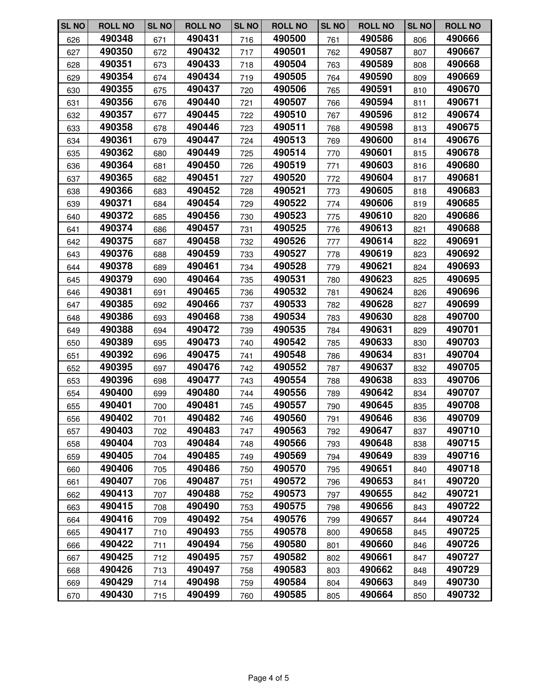| <b>SL NO</b> | <b>ROLL NO</b> | <b>SL NO</b> | <b>ROLL NO</b> | <b>SL NO</b> | <b>ROLL NO</b> | <b>SL NO</b> | <b>ROLL NO</b> | <b>SL NO</b> | <b>ROLL NO</b> |
|--------------|----------------|--------------|----------------|--------------|----------------|--------------|----------------|--------------|----------------|
| 626          | 490348         | 671          | 490431         | 716          | 490500         | 761          | 490586         | 806          | 490666         |
| 627          | 490350         | 672          | 490432         | 717          | 490501         | 762          | 490587         | 807          | 490667         |
| 628          | 490351         | 673          | 490433         | 718          | 490504         | 763          | 490589         | 808          | 490668         |
| 629          | 490354         | 674          | 490434         | 719          | 490505         | 764          | 490590         | 809          | 490669         |
| 630          | 490355         | 675          | 490437         | 720          | 490506         | 765          | 490591         | 810          | 490670         |
| 631          | 490356         | 676          | 490440         | 721          | 490507         | 766          | 490594         | 811          | 490671         |
| 632          | 490357         | 677          | 490445         | 722          | 490510         | 767          | 490596         | 812          | 490674         |
| 633          | 490358         | 678          | 490446         | 723          | 490511         | 768          | 490598         | 813          | 490675         |
| 634          | 490361         | 679          | 490447         | 724          | 490513         | 769          | 490600         | 814          | 490676         |
| 635          | 490362         | 680          | 490449         | 725          | 490514         | 770          | 490601         | 815          | 490678         |
| 636          | 490364         | 681          | 490450         | 726          | 490519         | 771          | 490603         | 816          | 490680         |
| 637          | 490365         | 682          | 490451         | 727          | 490520         | 772          | 490604         | 817          | 490681         |
| 638          | 490366         | 683          | 490452         | 728          | 490521         | 773          | 490605         | 818          | 490683         |
| 639          | 490371         | 684          | 490454         | 729          | 490522         | 774          | 490606         | 819          | 490685         |
| 640          | 490372         | 685          | 490456         | 730          | 490523         | 775          | 490610         | 820          | 490686         |
| 641          | 490374         | 686          | 490457         | 731          | 490525         | 776          | 490613         | 821          | 490688         |
| 642          | 490375         | 687          | 490458         | 732          | 490526         | 777          | 490614         | 822          | 490691         |
| 643          | 490376         | 688          | 490459         | 733          | 490527         | 778          | 490619         | 823          | 490692         |
| 644          | 490378         | 689          | 490461         | 734          | 490528         | 779          | 490621         | 824          | 490693         |
| 645          | 490379         | 690          | 490464         | 735          | 490531         | 780          | 490623         | 825          | 490695         |
| 646          | 490381         | 691          | 490465         | 736          | 490532         | 781          | 490624         | 826          | 490696         |
| 647          | 490385         | 692          | 490466         | 737          | 490533         | 782          | 490628         | 827          | 490699         |
| 648          | 490386         | 693          | 490468         | 738          | 490534         | 783          | 490630         | 828          | 490700         |
| 649          | 490388         | 694          | 490472         | 739          | 490535         | 784          | 490631         | 829          | 490701         |
| 650          | 490389         | 695          | 490473         | 740          | 490542         | 785          | 490633         | 830          | 490703         |
| 651          | 490392         | 696          | 490475         | 741          | 490548         | 786          | 490634         | 831          | 490704         |
| 652          | 490395         | 697          | 490476         | 742          | 490552         | 787          | 490637         | 832          | 490705         |
| 653          | 490396         | 698          | 490477         | 743          | 490554         | 788          | 490638         | 833          | 490706         |
| 654          | 490400         | 699          | 490480         | 744          | 490556         | 789          | 490642         | 834          | 490707         |
| 655          | 490401         | 700          | 490481         | 745          | 490557         | 790          | 490645         | 835          | 490708         |
| 656          | 490402         | 701          | 490482         | 746          | 490560         | 791          | 490646         | 836          | 490709         |
| 657          | 490403         | 702          | 490483         | 747          | 490563         | 792          | 490647         | 837          | 490710         |
| 658          | 490404         | 703          | 490484         | 748          | 490566         | 793          | 490648         | 838          | 490715         |
| 659          | 490405         | 704          | 490485         | 749          | 490569         | 794          | 490649         | 839          | 490716         |
| 660          | 490406         | 705          | 490486         | 750          | 490570         | 795          | 490651         | 840          | 490718         |
| 661          | 490407         | 706          | 490487         | 751          | 490572         | 796          | 490653         | 841          | 490720         |
| 662          | 490413         | 707          | 490488         | 752          | 490573         | 797          | 490655         | 842          | 490721         |
| 663          | 490415         | 708          | 490490         | 753          | 490575         | 798          | 490656         | 843          | 490722         |
| 664          | 490416         | 709          | 490492         | 754          | 490576         | 799          | 490657         | 844          | 490724         |
| 665          | 490417         | 710          | 490493         | 755          | 490578         | 800          | 490658         | 845          | 490725         |
| 666          | 490422         | 711          | 490494         | 756          | 490580         | 801          | 490660         | 846          | 490726         |
| 667          | 490425         | 712          | 490495         | 757          | 490582         | 802          | 490661         | 847          | 490727         |
| 668          | 490426         | 713          | 490497         | 758          | 490583         | 803          | 490662         | 848          | 490729         |
| 669          | 490429         | 714          | 490498         | 759          | 490584         | 804          | 490663         | 849          | 490730         |
| 670          | 490430         | 715          | 490499         | 760          | 490585         | 805          | 490664         | 850          | 490732         |